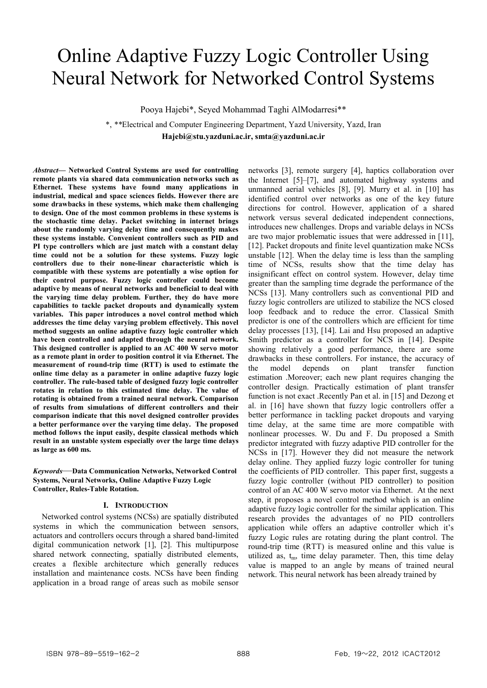# Online Adaptive Fuzzy Logic Controller Using Neural Network for Networked Control Systems

Pooya Hajebi\*, Seyed Mohammad Taghi AlModarresi\*\*

\*, *\*\**Electrical and Computer Engineering Department, Yazd University, Yazd, Iran **Hajebi@stu.yazduni.ac.ir, smta@yazduni.ac.ir** 

*Abstract***— Networked Control Systems are used for controlling remote plants via shared data communication networks such as Ethernet. These systems have found many applications in industrial, medical and space sciences fields. However there are some drawbacks in these systems, which make them challenging to design. One of the most common problems in these systems is the stochastic time delay. Packet switching in internet brings about the randomly varying delay time and consequently makes these systems instable. Convenient controllers such as PID and PI type controllers which are just match with a constant delay time could not be a solution for these systems. Fuzzy logic controllers due to their none-linear characteristic which is compatible with these systems are potentially a wise option for their control purpose. Fuzzy logic controller could become adaptive by means of neural networks and beneficial to deal with the varying time delay problem. Further, they do have more capabilities to tackle packet dropouts and dynamically system variables. This paper introduces a novel control method which addresses the time delay varying problem effectively. This novel method suggests an online adaptive fuzzy logic controller which have been controlled and adapted through the neural network. This designed controller is applied to an AC 400 W servo motor as a remote plant in order to position control it via Ethernet. The measurement of round-trip time (RTT) is used to estimate the online time delay as a parameter in online adaptive fuzzy logic controller. The rule-based table of designed fuzzy logic controller rotates in relation to this estimated time delay. The value of rotating is obtained from a trained neural network. Comparison of results from simulations of different controllers and their comparison indicate that this novel designed controller provides a better performance over the varying time delay. The proposed method follows the input easily, despite classical methods which result in an unstable system especially over the large time delays as large as 600 ms.** 

## *Keywords*—**Data Communication Networks, Networked Control Systems, Neural Networks, Online Adaptive Fuzzy Logic Controller, Rules-Table Rotation.**

# **I. INTRODUCTION**

Networked control systems (NCSs) are spatially distributed systems in which the communication between sensors, actuators and controllers occurs through a shared band-limited digital communication network [1], [2]. This multipurpose shared network connecting, spatially distributed elements, creates a flexible architecture which generally reduces installation and maintenance costs. NCSs have been finding application in a broad range of areas such as mobile sensor networks [3], remote surgery [4], haptics collaboration over the Internet [5]–[7], and automated highway systems and unmanned aerial vehicles [8], [9]. Murry et al. in [10] has identified control over networks as one of the key future directions for control. However, application of a shared network versus several dedicated independent connections, introduces new challenges. Drops and variable delays in NCSs are two major problematic issues that were addressed in [11], [12]. Packet dropouts and finite level quantization make NCSs unstable [12]. When the delay time is less than the sampling time of NCSs, results show that the time delay has insignificant effect on control system. However, delay time greater than the sampling time degrade the performance of the NCSs [13]. Many controllers such as conventional PID and fuzzy logic controllers are utilized to stabilize the NCS closed loop feedback and to reduce the error. Classical Smith predictor is one of the controllers which are efficient for time delay processes [13], [14]. Lai and Hsu proposed an adaptive Smith predictor as a controller for NCS in [14]. Despite showing relatively a good performance, there are some drawbacks in these controllers. For instance, the accuracy of the model depends on plant transfer function estimation .Moreover; each new plant requires changing the controller design. Practically estimation of plant transfer function is not exact .Recently Pan et al. in [15] and Dezong et al. in [16] have shown that fuzzy logic controllers offer a better performance in tackling packet dropouts and varying time delay, at the same time are more compatible with nonlinear processes. W. Du and F. Du proposed a Smith predictor integrated with fuzzy adaptive PID controller for the NCSs in [17]. However they did not measure the network delay online. They applied fuzzy logic controller for tuning the coefficients of PID controller. This paper first, suggests a fuzzy logic controller (without PID controller) to position control of an AC 400 W servo motor via Ethernet. At the next step, it proposes a novel control method which is an online adaptive fuzzy logic controller for the similar application. This research provides the advantages of no PID controllers application while offers an adaptive controller which it's fuzzy Logic rules are rotating during the plant control. The round-trip time (RTT) is measured online and this value is utilized as,  $t_m$ , time delay parameter. Then, this time delay value is mapped to an angle by means of trained neural network. This neural network has been already trained by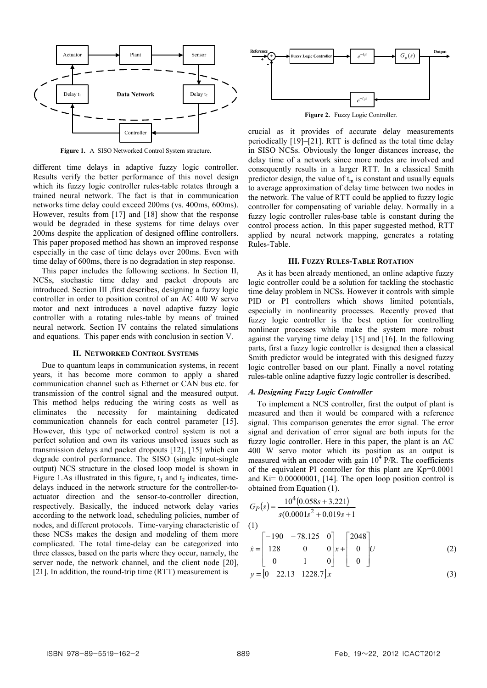

**Figure 1.** A SISO Networked Control System structure.

different time delays in adaptive fuzzy logic controller. Results verify the better performance of this novel design which its fuzzy logic controller rules-table rotates through a trained neural network. The fact is that in communication networks time delay could exceed 200ms (vs. 400ms, 600ms). However, results from [17] and [18] show that the response would be degraded in these systems for time delays over 200ms despite the application of designed offline controllers. This paper proposed method has shown an improved response especially in the case of time delays over 200ms. Even with time delay of 600ms, there is no degradation in step response.

This paper includes the following sections. In Section II, NCSs, stochastic time delay and packet dropouts are introduced. Section III ,first describes, designing a fuzzy logic controller in order to position control of an AC 400 W servo motor and next introduces a novel adaptive fuzzy logic controller with a rotating rules-table by means of trained neural network. Section IV contains the related simulations and equations. This paper ends with conclusion in section V.

#### **II. NETWORKED CONTROL SYSTEMS**

Due to quantum leaps in communication systems, in recent years, it has become more common to apply a shared communication channel such as Ethernet or CAN bus etc. for transmission of the control signal and the measured output. This method helps reducing the wiring costs as well as eliminates the necessity for maintaining dedicated communication channels for each control parameter [15]. However, this type of networked control system is not a perfect solution and own its various unsolved issues such as transmission delays and packet dropouts [12], [15] which can degrade control performance. The SISO (single input-single output) NCS structure in the closed loop model is shown in Figure 1.As illustrated in this figure,  $t_1$  and  $t_2$  indicates, timedelays induced in the network structure for the controller-toactuator direction and the sensor-to-controller direction, respectively. Basically, the induced network delay varies according to the network load, scheduling policies, number of nodes, and different protocols. Time-varying characteristic of these NCSs makes the design and modeling of them more complicated. The total time-delay can be categorized into three classes, based on the parts where they occur, namely, the server node, the network channel, and the client node [20], [21]. In addition, the round-trip time (RTT) measurement is



**Figure 2.** Fuzzy Logic Controller.

crucial as it provides of accurate delay measurements periodically [19]–[21]. RTT is defined as the total time delay in SISO NCSs. Obviously the longer distances increase, the delay time of a network since more nodes are involved and consequently results in a larger RTT. In a classical Smith predictor design, the value of  $t_m$  is constant and usually equals to average approximation of delay time between two nodes in the network. The value of RTT could be applied to fuzzy logic controller for compensating of variable delay. Normally in a fuzzy logic controller rules-base table is constant during the control process action. In this paper suggested method, RTT applied by neural network mapping, generates a rotating Rules-Table.

#### **III. FUZZY RULES-TABLE ROTATION**

As it has been already mentioned, an online adaptive fuzzy logic controller could be a solution for tackling the stochastic time delay problem in NCSs. However it controls with simple PID or PI controllers which shows limited potentials, especially in nonlinearity processes. Recently proved that fuzzy logic controller is the best option for controlling nonlinear processes while make the system more robust against the varying time delay [15] and [16]. In the following parts, first a fuzzy logic controller is designed then a classical Smith predictor would be integrated with this designed fuzzy logic controller based on our plant. Finally a novel rotating rules-table online adaptive fuzzy logic controller is described.

### *A. Designing Fuzzy Logic Controller*

To implement a NCS controller, first the output of plant is measured and then it would be compared with a reference signal. This comparison generates the error signal. The error signal and derivation of error signal are both inputs for the fuzzy logic controller. Here in this paper, the plant is an AC 400 W servo motor which its position as an output is measured with an encoder with gain  $10^4$  P/R. The coefficients of the equivalent PI controller for this plant are Kp=0.0001 and  $Ki = 0.00000001$ , [14]. The open loop position control is obtained from Equation (1).

$$
G_P(s) = \frac{10^4 (0.058s + 3.221)}{s(0.0001s^2 + 0.019s + 1}
$$
  
(1)  

$$
\dot{x} = \begin{bmatrix} -190 & -78.125 & 0 \\ 128 & 0 & 0 \\ \end{bmatrix} x + \begin{bmatrix} 2048 \\ 0 \\ \end{bmatrix} U
$$
 (2)

$$
\begin{bmatrix} 0 & 1 & 0 \end{bmatrix} \begin{bmatrix} 0 \end{bmatrix}
$$
  

$$
y = \begin{bmatrix} 0 & 22.13 & 1228.7 \end{bmatrix} x
$$
 (3)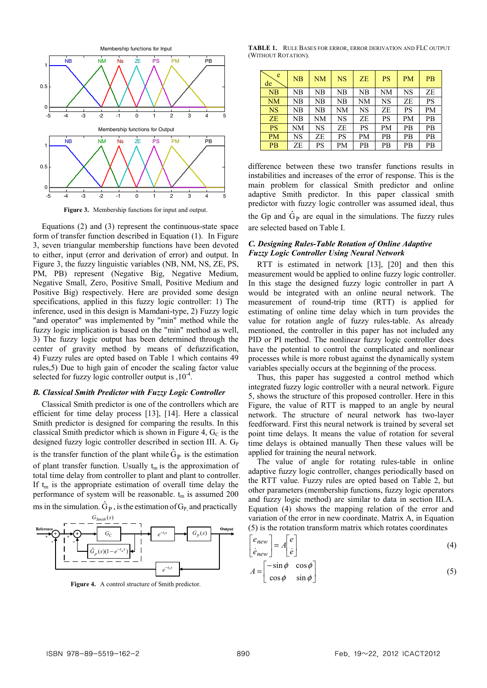

**Figure 3.** Membership functions for input and output.

Equations (2) and (3) represent the continuous-state space form of transfer function described in Equation (1). In Figure 3, seven triangular membership functions have been devoted to either, input (error and derivation of error) and output. In Figure 3, the fuzzy linguistic variables (NB, NM, NS, ZE, PS, PM, PB) represent (Negative Big, Negative Medium, Negative Small, Zero, Positive Small, Positive Medium and Positive Big) respectively. Here are provided some design specifications, applied in this fuzzy logic controller: 1) The inference, used in this design is Mamdani-type, 2) Fuzzy logic "and operator" was implemented by "min" method while the fuzzy logic implication is based on the "min" method as well, 3) The fuzzy logic output has been determined through the center of gravity method by means of defuzzification, 4) Fuzzy rules are opted based on Table 1 which contains 49 rules,5) Due to high gain of encoder the scaling factor value selected for fuzzy logic controller output is  $,10^{-4}$ .

### *B. Classical Smith Predictor with Fuzzy Logic Controller*

Classical Smith predictor is one of the controllers which are efficient for time delay process [13], [14]. Here a classical Smith predictor is designed for comparing the results. In this classical Smith predictor which is shown in Figure 4,  $G_C$  is the designed fuzzy logic controller described in section III. A. G<sub>P</sub> is the transfer function of the plant while  $\hat{G}_P$  is the estimation of plant transfer function. Usually  $t_m$  is the approximation of total time delay from controller to plant and plant to controller. If  $t_m$  is the appropriate estimation of overall time delay the performance of system will be reasonable.  $t_m$  is assumed 200 ms in the simulation.  $\hat{G}_P$ , is the estimation of  $G_P$  and practically



**Figure 4.** A control structure of Smith predictor.

**TABLE 1.** RULE BASES FOR ERROR, ERROR DERIVATION AND FLC OUTPUT (WITHOUT ROTATION).

| e<br>de   | NB | NM        | $_{\rm NS}$ | ZE        | <b>PS</b> | <b>PM</b> | <b>PB</b> |
|-----------|----|-----------|-------------|-----------|-----------|-----------|-----------|
| NB        | NB | NΒ        | NB          | NB        | NΜ        | <b>NS</b> | ZE        |
| <b>NM</b> | NB | NΒ        | NB          | <b>NM</b> | <b>NS</b> | ZE        | PS        |
| <b>NS</b> | NB | NΒ        | NΜ          | NS        | ZE        | PS        | PM        |
| ZE        | NB | NΜ        | NS          | ZE        | PS        | PM        | PB        |
| <b>PS</b> | NΜ | <b>NS</b> | ZE          | PS        | PM        | PB        | PB        |
| <b>PM</b> | NS | ZE        | PS          | PM        | PВ        | PB        | PB        |
| <b>PB</b> | ZE | PS        | PМ          | PB        | PB        | PB        | PB        |

difference between these two transfer functions results in instabilities and increases of the error of response. This is the main problem for classical Smith predictor and online adaptive Smith predictor. In this paper classical smith predictor with fuzzy logic controller was assumed ideal, thus the Gp and  $\hat{G}_P$  are equal in the simulations. The fuzzy rules are selected based on Table I.

# *C. Designing Rules-Table Rotation of Online Adaptive Fuzzy Logic Controller Using Neural Network*

RTT is estimated in network [13], [20] and then this measurement would be applied to online fuzzy logic controller. In this stage the designed fuzzy logic controller in part A would be integrated with an online neural network. The measurement of round-trip time (RTT) is applied for estimating of online time delay which in turn provides the value for rotation angle of fuzzy rules-table. As already mentioned, the controller in this paper has not included any PID or PI method. The nonlinear fuzzy logic controller does have the potential to control the complicated and nonlinear processes while is more robust against the dynamically system variables specially occurs at the beginning of the process.

Thus, this paper has suggested a control method which integrated fuzzy logic controller with a neural network. Figure 5, shows the structure of this proposed controller. Here in this Figure, the value of RTT is mapped to an angle by neural network. The structure of neural network has two-layer feedforward. First this neural network is trained by several set point time delays. It means the value of rotation for several time delays is obtained manually Then these values will be applied for training the neural network.

The value of angle for rotating rules-table in online adaptive fuzzy logic controller, changes periodically based on the RTT value. Fuzzy rules are opted based on Table 2, but other parameters (membership functions, fuzzy logic operators and fuzzy logic method) are similar to data in section III.A. Equation (4) shows the mapping relation of the error and variation of the error in new coordinate. Matrix A, in Equation (5) is the rotation transform matrix which rotates coordinates

$$
\begin{bmatrix} e_{new} \\ \dot{e}_{new} \end{bmatrix} = A \begin{bmatrix} e \\ \dot{e} \end{bmatrix}
$$
 (4)

$$
A = \begin{bmatrix} -\sin\phi & \cos\phi \\ \cos\phi & \sin\phi \end{bmatrix}
$$
 (5)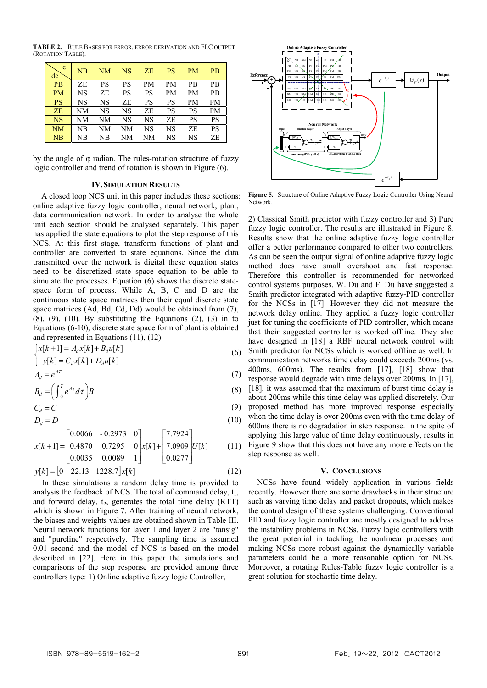**TABLE 2.** RULE BASES FOR ERROR, ERROR DERIVATION AND FLC OUTPUT (ROTATION TABLE).

| e<br>de   | NB        | NM | NS        | ZE | <b>PS</b> | <b>PM</b> | PB        |
|-----------|-----------|----|-----------|----|-----------|-----------|-----------|
| <b>PB</b> | ZE        | PS | PS        | PM | PM        | PВ        | PВ        |
| <b>PM</b> | NS        | ZE | PS        | PS | <b>PM</b> | <b>PM</b> | PB        |
| <b>PS</b> | NS        | NS | ZE        | PS | PS        | <b>PM</b> | PM        |
| ZE        | <b>NM</b> | NS | NS        | ZE | PS        | <b>PS</b> | <b>PM</b> |
| <b>NS</b> | NM        | NM | NS        | NS | ZE        | PS        | PS        |
| <b>NM</b> | NB        | NM | NM        | NS | <b>NS</b> | ZE        | <b>PS</b> |
| NB        | NB        | NB | <b>NM</b> | NM | NS        | <b>NS</b> | ZE        |

by the angle of φ radian. The rules-rotation structure of fuzzy logic controller and trend of rotation is shown in Figure (6).

#### **IV.SIMULATION RESULTS**

A closed loop NCS unit in this paper includes these sections: online adaptive fuzzy logic controller, neural network, plant, data communication network. In order to analyse the whole unit each section should be analysed separately. This paper has applied the state equations to plot the step response of this NCS. At this first stage, transform functions of plant and controller are converted to state equations. Since the data transmitted over the network is digital these equation states need to be discretized state space equation to be able to simulate the processes. Equation (6) shows the discrete statespace form of process. While A, B, C and D are the continuous state space matrices then their equal discrete state space matrices (Ad, Bd, Cd, Dd) would be obtained from (7),  $(8)$ ,  $(9)$ ,  $(10)$ . By substituting the Equations  $(2)$ ,  $(3)$  in to Equations (6-10), discrete state space form of plant is obtained and represented in Equations (11), (12).

$$
\begin{cases}\nx[k+1] = A_d x[k] + B_d u[k] \\
y[k] = C_d x[k] + D_d u[k]\n\end{cases}
$$
\n(6)

$$
A_d = e^{AT}
$$
  
\n
$$
B_d = \left(\int_0^T e^{AT} d\tau\right) B
$$
\n(3)

$$
C_d = C \tag{9}
$$

$$
D_d = D \tag{10}
$$

$$
x[k+1] = \begin{bmatrix} 0.0066 & -0.2973 & 0 \\ 0.4870 & 0.7295 & 0 \\ 0.0035 & 0.0089 & 1 \end{bmatrix} x[k] + \begin{bmatrix} 7.7924 \\ 7.0909 \\ 0.0277 \end{bmatrix} U[k] \tag{11}
$$

$$
y[k] = [0 \quad 22.13 \quad 1228.7] \, x[k] \tag{12}
$$

In these simulations a random delay time is provided to analysis the feedback of NCS. The total of command delay,  $t_1$ , and forward delay,  $t_2$ , generates the total time delay (RTT) which is shown in Figure 7. After training of neural network, the biases and weights values are obtained shown in Table III. Neural network functions for layer 1 and layer 2 are "tansig" and "pureline" respectively. The sampling time is assumed 0.01 second and the model of NCS is based on the model described in [22]. Here in this paper the simulations and comparisons of the step response are provided among three controllers type: 1) Online adaptive fuzzy logic Controller,



**Figure 5.** Structure of Online Adaptive Fuzzy Logic Controller Using Neural Network.

2) Classical Smith predictor with fuzzy controller and 3) Pure fuzzy logic controller. The results are illustrated in Figure 8. Results show that the online adaptive fuzzy logic controller offer a better performance compared to other two controllers. As can be seen the output signal of online adaptive fuzzy logic method does have small overshoot and fast response. Therefore this controller is recommended for networked control systems purposes. W. Du and F. Du have suggested a Smith predictor integrated with adaptive fuzzy-PID controller for the NCSs in [17]. However they did not measure the network delay online. They applied a fuzzy logic controller just for tuning the coefficients of PID controller, which means that their suggested controller is worked offline. They also have designed in [18] a RBF neural network control with Smith predictor for NCSs which is worked offline as well. In communication networks time delay could exceeds 200ms (vs. 400ms, 600ms). The results from [17], [18] show that response would degrade with time delays over 200ms. In [17], [18], it was assumed that the maximum of burst time delay is about 200ms while this time delay was applied discretely. Our proposed method has more improved response especially when the time delay is over 200ms even with the time delay of 600ms there is no degradation in step response. In the spite of applying this large value of time delay continuously, results in Figure 9 show that this does not have any more effects on the step response as well.

#### **V. CONCLUSIONS**

NCSs have found widely application in various fields recently. However there are some drawbacks in their structure such as varying time delay and packet dropouts, which makes the control design of these systems challenging. Conventional PID and fuzzy logic controller are mostly designed to address the instability problems in NCSs. Fuzzy logic controllers with the great potential in tackling the nonlinear processes and making NCSs more robust against the dynamically variable parameters could be a more reasonable option for NCSs. Moreover, a rotating Rules-Table fuzzy logic controller is a great solution for stochastic time delay.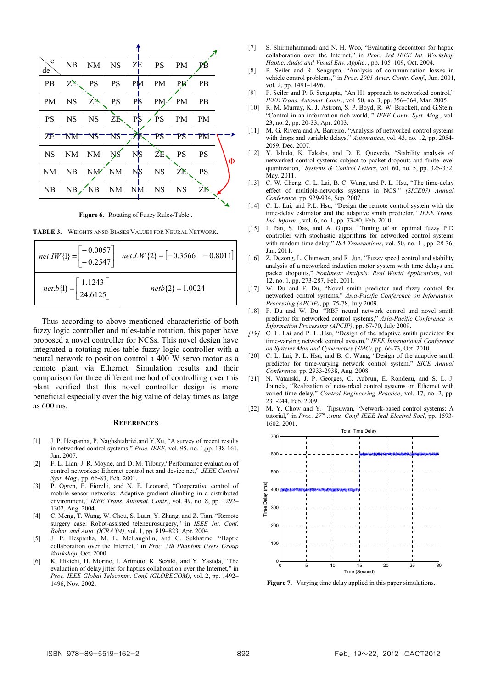|   | ₽B          | <b>PM</b>            | <b>PS</b> | ZE               | <b>NS</b> | <b>NM</b>       | NB                     | e<br>de   |
|---|-------------|----------------------|-----------|------------------|-----------|-----------------|------------------------|-----------|
|   | PB          | $\overrightarrow{P}$ | PM        | PM               | <b>PS</b> | <b>PS</b>       | ZE.                    | PB        |
|   | PB          | PM                   | PM·       | P <sub>S</sub>   | <b>PS</b> | ΖB.             | <b>NS</b>              | PM        |
|   | <b>PM</b>   | <b>PM</b>            | PS        | $P_{\mathbf{p}}$ | ZB.       | <b>NS</b>       | <b>NS</b>              | <b>PS</b> |
|   | $_{\rm PM}$ | TS                   | PS        | 工医               | NS        | NS              | $\mathbf{N}\mathbf{M}$ | ΖE        |
| Φ | PS          | <b>PS</b>            | ŻE.       | N <sub>S</sub>   | <b>NS</b> | <b>NM</b>       | NM                     | <b>NS</b> |
|   | <b>PS</b>   | ZE.                  | <b>NS</b> | NS               | <b>NM</b> | NM <sup>'</sup> | NB                     | <b>NM</b> |
|   | ŻБ,         | <b>NS</b>            | <b>NS</b> | <b>NM</b>        | NM        | N <sub>B</sub>  | NB                     | NB        |
|   |             |                      |           |                  |           |                 |                        |           |

**Figure 6.** Rotating of Fuzzy Rules-Table .

**TABLE 3.** WEIGHTS ANSD BIASES VALUES FOR NEURAL NETWORK.

|                                                                | net.IW{1} = $\begin{bmatrix} -0.0057 \\ -0.2547 \end{bmatrix}$ net.LW{2} = [-0.3566 -0.8011] |
|----------------------------------------------------------------|----------------------------------------------------------------------------------------------|
| $net.b\{1\} = \begin{bmatrix} 1.1243 \\ 24.6125 \end{bmatrix}$ | $netb{2} = 1.0024$                                                                           |

Thus according to above mentioned characteristic of both fuzzy logic controller and rules-table rotation, this paper have proposed a novel controller for NCSs. This novel design have integrated a rotating rules-table fuzzy logic controller with a neural network to position control a 400 W servo motor as a remote plant via Ethernet. Simulation results and their comparison for three different method of controlling over this plant verified that this novel controller design is more beneficial especially over the big value of delay times as large as 600 ms.

#### **REFERENCES**

- [1] J. P. Hespanha, P. Naghshtabrizi, and Y.Xu, "A survey of recent results in networked control systems," *Proc. IEEE*, vol. 95, no. 1,pp. 138-161, Jan. 2007.
- [2] F. L. Lian, J. R. Moyne, and D. M. Tilbury,"Performance evaluation of control networkes: Ethernet control net and device net," .*IEEE Control Syst. Mag.*, pp. 66-83, Feb. 2001.
- [3] P. Ogren, E. Fiorelli, and N. E. Leonard, "Cooperative control of mobile sensor networks: Adaptive gradient climbing in a distributed environment," *IEEE Trans. Automat. Contr.*, vol. 49, no. 8, pp. 1292– 1302, Aug. 2004.
- [4] C. Meng, T. Wang, W. Chou, S. Luan, Y. Zhang, and Z. Tian, "Remote surgery case: Robot-assisted teleneurosurgery," in *IEEE Int. Conf. Robot. and Auto. (ICRA'04)*, vol. 1, pp. 819–823, Apr. 2004.
- [5] J. P. Hespanha, M. L. McLaughlin, and G. Sukhatme, "Haptic collaboration over the Internet," in *Proc. 5th Phantom Users Group Workshop*, Oct. 2000.
- [6] K. Hikichi, H. Morino, I. Arimoto, K. Sezaki, and Y. Yasuda, "The evaluation of delay jitter for haptics collaboration over the Internet," in *Proc. IEEE Global Telecomm. Conf. (GLOBECOM)*, vol. 2, pp. 1492– 1496, Nov. 2002.
- [7] S. Shirmohammadi and N. H. Woo, "Evaluating decorators for haptic collaboration over the Internet," in *Proc. 3rd IEEE Int. Workshop Haptic, Audio and Visual Env. Applic*. , pp. 105–109, Oct. 2004.
- [8] P. Seiler and R. Sengupta, "Analysis of communication losses in vehicle control problems," in *Proc. 2001 Amer. Contr. Conf.*, Jun. 2001, vol. 2, pp. 1491–1496.
- [9] P. Seiler and P. R Sengupta, "An H1 approach to networked control," *IEEE Trans. Automat. Contr*., vol. 50, no. 3, pp. 356–364, Mar. 2005.
- [10] R. M. Murray, K. J. Astrom, S. P. Boyd, R. W. Brockett, and G.Stein, "Control in an information rich world, " *IEEE Contr. Syst. Mag*., vol. 23, no. 2, pp. 20-33, Apr. 2003.
- [11] M. G. Rivera and A. Barreiro, "Analysis of networked control systems with drops and variable delays," *Automatica*, vol. 43, no. 12, pp. 2054- 2059, Dec. 2007.
- [12] Y. Ishido, K. Takaba, and D. E. Quevedo, "Stability analysis of networked control systems subject to packet-dropouts and finite-level quantization," *Systems & Control Letters*, vol. 60, no. 5, pp. 325-332, May. 2011.
- [13] C. W. Cheng, C. L. Lai, B. C. Wang, and P. L. Hsu, "The time-delay effect of multiple-networks systems in NCS," *(SICE07) Annual Conference*, pp. 929-934, Sep. 2007.
- [14] C. L. Lai, and P.L. Hsu, "Design the remote control system with the time-delay estimator and the adaptive smith predictor," *IEEE Trans. Ind. Inform.* , vol. 6, no. 1, pp. 73-80, Feb. 2010.
- [15] I. Pan, S. Das, and A. Gupta, "Tuning of an optimal fuzzy PID controller with stochastic algorithms for networked control systems with random time delay," *ISA Transactions*, vol. 50, no. 1 , pp. 28-36, Jan. 2011.
- [16] Z. Dezong, L. Chunwen, and R. Jun, "Fuzzy speed control and stability analysis of a networked induction motor system with time delays and packet dropouts," *Nonlinear Analysis: Real World Applications*, vol. 12, no. 1, pp. 273-287, Feb. 2011.
- [17] W. Du and F. Du, "Novel smith predictor and fuzzy control for networked control systems," *Asia-Pacific Conference on Information Processing (APCIP)*, pp. 75-78, July 2009.
- [18] F. Du and W. Du, "RBF neural network control and novel smith predictor for networked control systems," *Asia-Pacific Conference on Information Processing (APCIP)*, pp. 67-70, July 2009.
- *[19]* C. L. Lai and P. L .Hsu, "Design of the adaptive smith predictor for time-varying network control system," *IEEE International Conference on Systems Man and Cybernetics (SMC)*, pp. 66-73, Oct. 2010.
- [20] C. L. Lai, P. L. Hsu, and B. C. Wang, "Design of the adaptive smith predictor for time-varying network control system," *SICE Annual Conference*, pp. 2933-2938, Aug. 2008.
- [21] N. Vatanski, J. P. Georges, C. Aubrun, E. Rondeau, and S. L. J. Jounela, "Realization of networked control systems on Ethernet with varied time delay," *Control Engineering Practice*, vol. 17, no. 2, pp. 231-244, Feb. 2009.
- [22] M. Y. Chow and Y. Tipsuwan, "Network-based control systems: A tutorial," in *Proc. 27th Annu. Confl IEEE Indl Electrol Socl*, pp. 1593- 1602, 2001.



**Figure 7.** Varying time delay applied in this paper simulations.